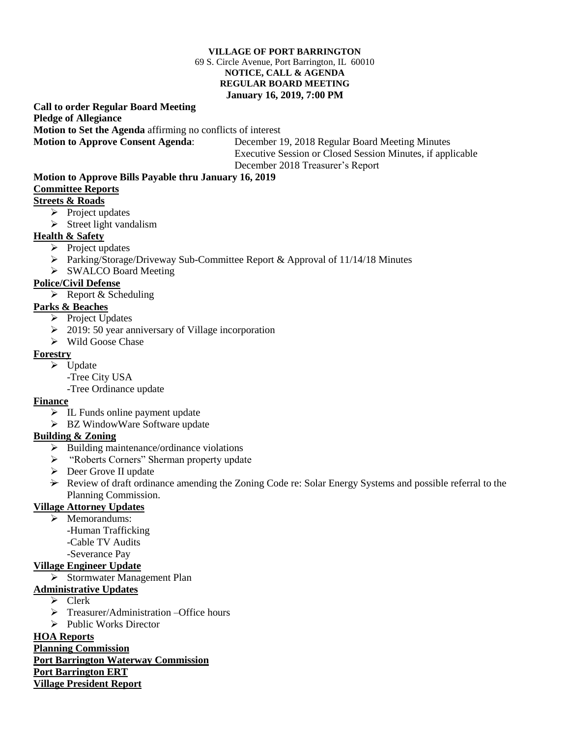#### **VILLAGE OF PORT BARRINGTON** 69 S. Circle Avenue, Port Barrington, IL 60010 **NOTICE, CALL & AGENDA REGULAR BOARD MEETING January 16, 2019, 7:00 PM**

#### **Call to order Regular Board Meeting Pledge of Allegiance Motion to Set the Agenda** affirming no conflicts of interest **Motion to Approve Consent Agenda**: December 19, 2018 Regular Board Meeting Minutes

 Executive Session or Closed Session Minutes, if applicable December 2018 Treasurer's Report

# **Motion to Approve Bills Payable thru January 16, 2019**

## **Committee Reports**

### **Streets & Roads**

- $\triangleright$  Project updates
- $\triangleright$  Street light vandalism

### **Health & Safety**

- $\triangleright$  Project updates
- $\triangleright$  Parking/Storage/Driveway Sub-Committee Report & Approval of 11/14/18 Minutes
- SWALCO Board Meeting

### **Police/Civil Defense**

 $\triangleright$  Report & Scheduling

### **Parks & Beaches**

- $\triangleright$  Project Updates
- $\geq 2019: 50$  year anniversary of Village incorporation
- Wild Goose Chase

#### **Forestry**

- $\triangleright$  Update
	- -Tree City USA
	- -Tree Ordinance update

#### **Finance**

- $\triangleright$  IL Funds online payment update
- > BZ WindowWare Software update

#### **Building & Zoning**

- $\triangleright$  Building maintenance/ordinance violations
- "Roberts Corners" Sherman property update
- Deer Grove II update
- $\rightarrow$  Review of draft ordinance amending the Zoning Code re: Solar Energy Systems and possible referral to the Planning Commission.

### **Village Attorney Updates**

- > Memorandums:
	- -Human Trafficking
	- -Cable TV Audits
- -Severance Pay

### **Village Engineer Update**

Stormwater Management Plan

### **Administrative Updates**

- $\triangleright$  Clerk
- > Treasurer/Administration –Office hours
- > Public Works Director

### **HOA Reports**

**Planning Commission**

### **Port Barrington Waterway Commission**

**Port Barrington ERT** 

**Village President Report**